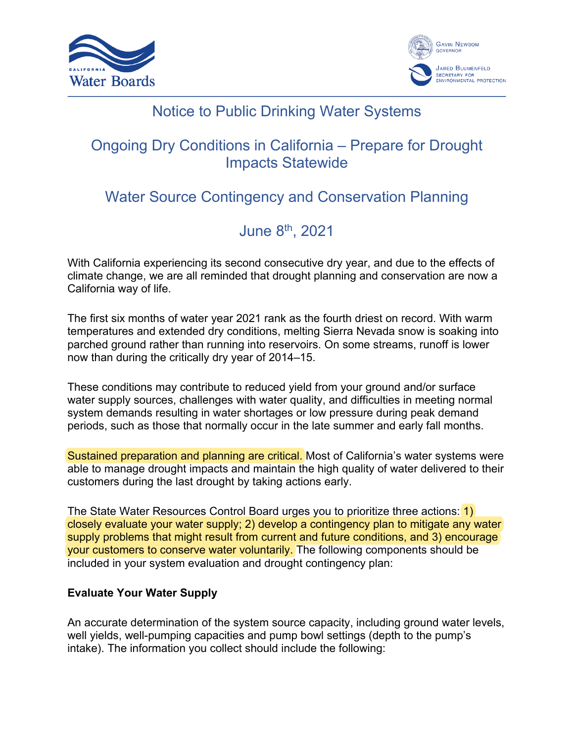



## Notice to Public Drinking Water Systems

## Ongoing Dry Conditions in California – Prepare for Drought Impacts Statewide

# Water Source Contingency and Conservation Planning

# June 8th, 2021

With California experiencing its second consecutive dry year, and due to the effects of climate change, we are all reminded that drought planning and conservation are now a California way of life.

The first six months of water year 2021 rank as the fourth driest on record. With warm temperatures and extended dry conditions, melting Sierra Nevada snow is soaking into parched ground rather than running into reservoirs. On some streams, runoff is lower now than during the critically dry year of 2014–15.

These conditions may contribute to reduced yield from your ground and/or surface water supply sources, challenges with water quality, and difficulties in meeting normal system demands resulting in water shortages or low pressure during peak demand periods, such as those that normally occur in the late summer and early fall months.

Sustained preparation and planning are critical. Most of California's water systems were able to manage drought impacts and maintain the high quality of water delivered to their customers during the last drought by taking actions early.

The State Water Resources Control Board urges you to prioritize three actions: 1) closely evaluate your water supply; 2) develop a contingency plan to mitigate any water supply problems that might result from current and future conditions, and 3) encourage your customers to conserve water voluntarily. The following components should be included in your system evaluation and drought contingency plan:

### **Evaluate Your Water Supply**

An accurate determination of the system source capacity, including ground water levels, well yields, well-pumping capacities and pump bowl settings (depth to the pump's intake). The information you collect should include the following: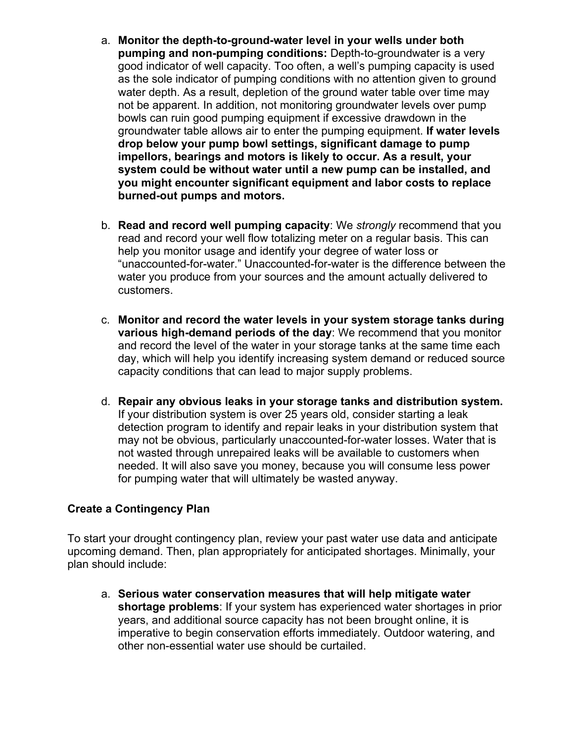- a. **Monitor the depth-to-ground-water level in your wells under both pumping and non-pumping conditions:** Depth-to-groundwater is a very good indicator of well capacity. Too often, a well's pumping capacity is used as the sole indicator of pumping conditions with no attention given to ground water depth. As a result, depletion of the ground water table over time may not be apparent. In addition, not monitoring groundwater levels over pump bowls can ruin good pumping equipment if excessive drawdown in the groundwater table allows air to enter the pumping equipment. **If water levels drop below your pump bowl settings, significant damage to pump impellors, bearings and motors is likely to occur. As a result, your system could be without water until a new pump can be installed, and you might encounter significant equipment and labor costs to replace burned-out pumps and motors.**
- b. **Read and record well pumping capacity**: We *strongly* recommend that you read and record your well flow totalizing meter on a regular basis. This can help you monitor usage and identify your degree of water loss or "unaccounted-for-water." Unaccounted-for-water is the difference between the water you produce from your sources and the amount actually delivered to customers.
- c. **Monitor and record the water levels in your system storage tanks during various high-demand periods of the day**: We recommend that you monitor and record the level of the water in your storage tanks at the same time each day, which will help you identify increasing system demand or reduced source capacity conditions that can lead to major supply problems.
- d. **Repair any obvious leaks in your storage tanks and distribution system.** If your distribution system is over 25 years old, consider starting a leak detection program to identify and repair leaks in your distribution system that may not be obvious, particularly unaccounted-for-water losses. Water that is not wasted through unrepaired leaks will be available to customers when needed. It will also save you money, because you will consume less power for pumping water that will ultimately be wasted anyway.

### **Create a Contingency Plan**

To start your drought contingency plan, review your past water use data and anticipate upcoming demand. Then, plan appropriately for anticipated shortages. Minimally, your plan should include:

a. **Serious water conservation measures that will help mitigate water shortage problems**: If your system has experienced water shortages in prior years, and additional source capacity has not been brought online, it is imperative to begin conservation efforts immediately. Outdoor watering, and other non-essential water use should be curtailed.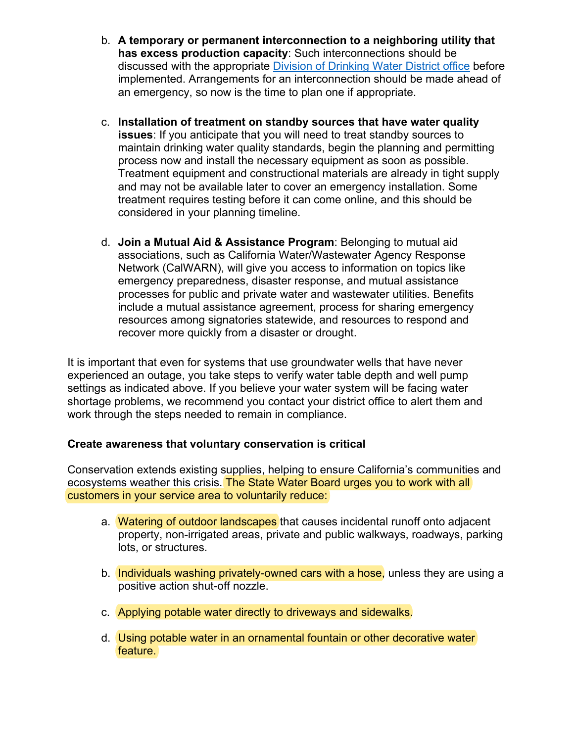- b. **A temporary or permanent interconnection to a neighboring utility that has excess production capacity**: Such interconnections should be discussed with the appropriate [Division of Drinking Water District office](https://www.waterboards.ca.gov/drinking_water/programs/documents/ddwem/ddw_districtofficesmap_wa_version.pdf) before implemented. Arrangements for an interconnection should be made ahead of an emergency, so now is the time to plan one if appropriate.
- c. **Installation of treatment on standby sources that have water quality issues**: If you anticipate that you will need to treat standby sources to maintain drinking water quality standards, begin the planning and permitting process now and install the necessary equipment as soon as possible. Treatment equipment and constructional materials are already in tight supply and may not be available later to cover an emergency installation. Some treatment requires testing before it can come online, and this should be considered in your planning timeline.
- d. **Join a Mutual Aid & Assistance Program**: Belonging to mutual aid associations, such as California Water/Wastewater Agency Response Network (CalWARN), will give you access to information on topics like emergency preparedness, disaster response, and mutual assistance processes for public and private water and wastewater utilities. Benefits include a mutual assistance agreement, process for sharing emergency resources among signatories statewide, and resources to respond and recover more quickly from a disaster or drought.

It is important that even for systems that use groundwater wells that have never experienced an outage, you take steps to verify water table depth and well pump settings as indicated above. If you believe your water system will be facing water shortage problems, we recommend you contact your district office to alert them and work through the steps needed to remain in compliance.

#### **Create awareness that voluntary conservation is critical**

Conservation extends existing supplies, helping to ensure California's communities and ecosystems weather this crisis. The State Water Board urges you to work with all customers in your service area to voluntarily reduce:

- a. Watering of outdoor landscapes that causes incidental runoff onto adiacent property, non-irrigated areas, private and public walkways, roadways, parking lots, or structures.
- b. Individuals washing privately-owned cars with a hose, unless they are using a positive action shut-off nozzle.
- c. Applying potable water directly to driveways and sidewalks.
- d. Using potable water in an ornamental fountain or other decorative water feature.